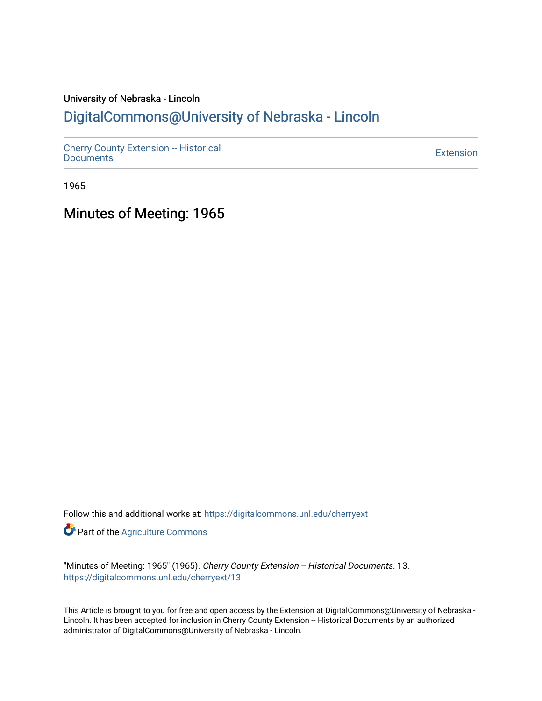# University of Nebraska - Lincoln [DigitalCommons@University of Nebraska - Lincoln](https://digitalcommons.unl.edu/)

[Cherry County Extension -- Historical](https://digitalcommons.unl.edu/cherryext)  [Documents](https://digitalcommons.unl.edu/cherryext) [Extension](https://digitalcommons.unl.edu/coop_extension) 

1965

Minutes of Meeting: 1965

Follow this and additional works at: [https://digitalcommons.unl.edu/cherryext](https://digitalcommons.unl.edu/cherryext?utm_source=digitalcommons.unl.edu%2Fcherryext%2F13&utm_medium=PDF&utm_campaign=PDFCoverPages) 

**Part of the [Agriculture Commons](http://network.bepress.com/hgg/discipline/1076?utm_source=digitalcommons.unl.edu%2Fcherryext%2F13&utm_medium=PDF&utm_campaign=PDFCoverPages)** 

"Minutes of Meeting: 1965" (1965). Cherry County Extension -- Historical Documents. 13. [https://digitalcommons.unl.edu/cherryext/13](https://digitalcommons.unl.edu/cherryext/13?utm_source=digitalcommons.unl.edu%2Fcherryext%2F13&utm_medium=PDF&utm_campaign=PDFCoverPages)

This Article is brought to you for free and open access by the Extension at DigitalCommons@University of Nebraska - Lincoln. It has been accepted for inclusion in Cherry County Extension -- Historical Documents by an authorized administrator of DigitalCommons@University of Nebraska - Lincoln.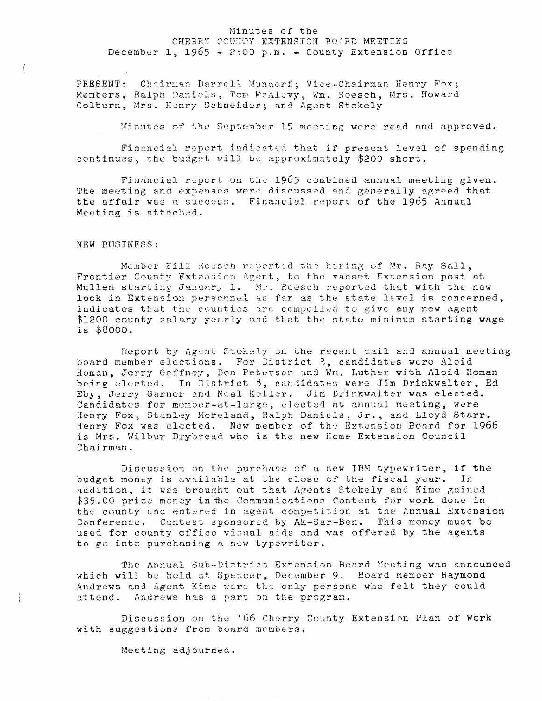### Minutes of the CHERRY COUNTY EXTENSION BOARD MEETING December 1, 1965 - 2:00 p.m. - County Extension Office

PRESENT: Chairman Darrell Mundorf; Vice-Chairman Henry Fox; Members, Ralph Daniels, Tom McAluvy, Wm. Roesch, Mrs. Howard Colburn, Mrs. Henry Schneider; and Agent Stokely

Minutes of the September 15 meeting were read and approved.

Financial report indicated that if present level of spending continues, the budget will be approximately \$200 short.

Financial report on the 1965 combined annual meeting given. The meeting and expenses were discussed and generally agreed that the affair was a success. Financial report of the 1965 Annual Meeting is attached.

#### NEW BUSINESS:

 $\left($ 

 $\left\{ \right.$ 

Member Eill Roesch reported the hiring of Mr. Ray Sall, Frontier County Extension Agent. to the vacant Extension post at Mullen starting January 1. Mr. Roesch reported that with the new look in Extension personnel as far as the state level is concerned, indicates that the counties arc compelled to give any new agent \$1200 county salary yearly and that the state minimum starting wage is \$8000.

Report by Agent Stokely on the recent mail and annual meeting board member elections. For District 3, candidates were Aloid Homan, Jerry Gaffney, Don Peterson and Wm. Luther with Aloid Homan being elected. In District 8, candidates were Jim Drinkwalter, Ed Eby, Jerry Garner and Neal Keller. Jim Drinkwalter was elected. Candidates for member-at-large, elected at annual meeting, were Henry Fox) Stanley Moreland, Ralph Daniels, Jr., and Lloyd Starr. Henry Fox was elected. New member of the Extension Board for 1966 is Mrs. Wilbur Drybread who is the new Home Extension Council Chairman.

Discussion on the purchase of a new IBM typewriter, if the budget money is available at the close of the fiscal year. In addition, it was brought out that Agents Stokely and Kime gained \$35.00 prize money in the Communications Contest for work done in the county and entered in agent competition at the Annual Extension Conference. Contest sponsored by Ak-Sar-Ben. This money must be used for county office visual aids and was offered by the agents to ge into purchasing a new typewriter.

The Annual Sub-District Extension Board Meeting was announced which will be held at Spencer, December 9. Board member Raymond Andrews and Agent Kime were the only persons who felt they could attend. Andrews has a part on the program.

Discussion on the '66 Cherry County Extension Plan of Work with suggestions from board menbers.

Meeting adjourned.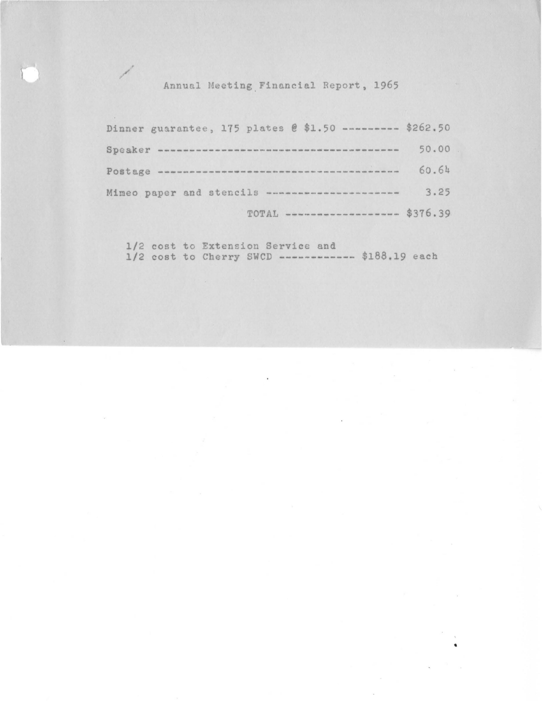Annual Meeting Financial Report, 1965

/

Dinner guarantee, 175 plates @ \$1.50 --------- \$262.50 Speaker **--------------------------------------** 50.00 Postage **--------------------------------------** 60.64 Mimeo paper and stencils **---------------------** 3.25 TOTAL **------------------** \$376.39

1/2 cost to Extension Service and 1/2 cost to Cherry SWCD **------------** \$188.19 each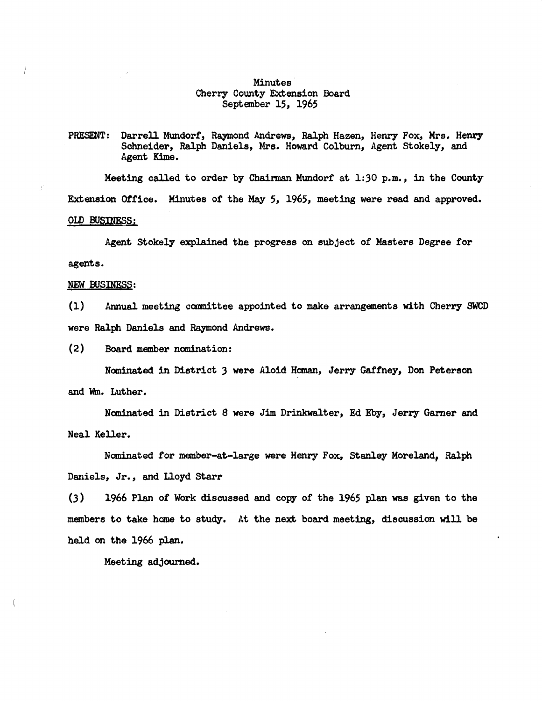## Minutes Cherry County Extension Board September 15, 1965

## PRESENT: Darrell Mundorf, Raymond Andrews, Ralph Hazen, Henry Fox, Mrs. Henry Schneider, Ralph Daniels, Mrs. Howard Colbum, Agent Stokely, and Agent Kime.

Meeting called to order by Chairman Mundorf at 1:30 p.m., in the County Extension Office. Minutes of the May 5, 1965, meeting were read and approved. **OLD BUSINESS:** 

Agent Stokely explained the progress on subject of Masters Degree for agents.

#### NEW BUSINESS:

(1) Annual meeting committee appointed to make arrangements with Cherry SWCD were Ralph Daniels and Raymond Andrews.

(2) Board member nanination:

Nominated in District 3 were Aloid Homan, Jerry Gaffney, Don Peterson and Wm. Luther.

Nominated in District 8 were Jim Drinkwalter, Ed Eby, Jerry Garner and Neal Keller.

Nominated for member-at-large were Henry Fox, Stanley Moreland, Ralph Daniels, Jr., and Lloyd Starr

 $(3)$  1966 Plan of Work discussed and copy of the 1965 plan was given to the members to take home to study. At the next board meeting, discussion will be held on the 1966 plan.

Meeting adjourned.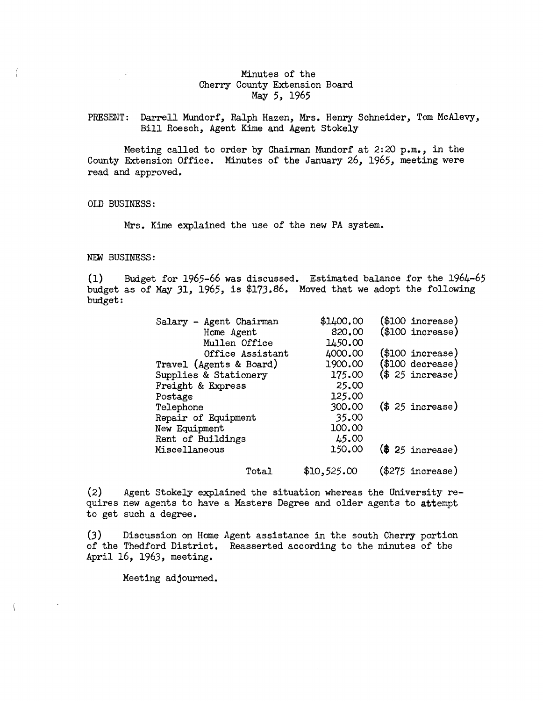## Minutes of the Cherry County Extension Board May 5, 1965

PRESENT: Darrell Mundorf, Ralph Hazen, Mrs. Henry Schneider, Tom McAlevy, Bill Roesch, Agent Kime and Agent Stokely

Meeting called to order by Chairman Mundorf at 2:20 p.m., in the County Extension Office. Minutes of the January 26, 1965, meeting were read and approved.

OLD BUSINESS:

Mrs. Kime explained the use of the new PA system.

#### NEW BUSINESS:

(l) Budget for 1965-66 was discussed. Estimated balance for the 1964-65 budget as of May 31, 1965, is \$173.86. Moved that we adopt the following budget:

| Salary - Agent Chairman | \$1400.00   | $$100$ increase)   |
|-------------------------|-------------|--------------------|
| Home Agent              | 820.00      | $($100$ increase)  |
| Mullen Office           | 1450.00     |                    |
| Office Assistant        | 4000.00     | (\$100 increase)   |
| Travel (Agents & Board) | 1900.00     | $(\$100$ decrease) |
| Supplies & Stationery   | 175.00      | (\$25\$ increase)  |
| Freight & Express       | 25.00       |                    |
| Postage                 | 125.00      |                    |
| Telephone               | 300.00      | (\$25\$ increase)  |
| Repair of Equipment     | 35.00       |                    |
| New Equipment           | 100.00      |                    |
| Rent of Buildings       | 45.00       |                    |
| Miscellaneous           | 150.00      | (\$25\$ increase)  |
| Total                   | \$10,525.00 | $(\$275$ increase) |

(2) Agent Stokely explained the situation whereas the University requires new agents to have a Masters Degree and older agents to attempt to get such a degree.

(3) Discussion on Home Agent assistance in the south Cherry portion of the Thedford District. Reasserted according to the minutes of the April 16, 1963, meeting.

Meeting adjourned.

 $\left\langle \right\rangle$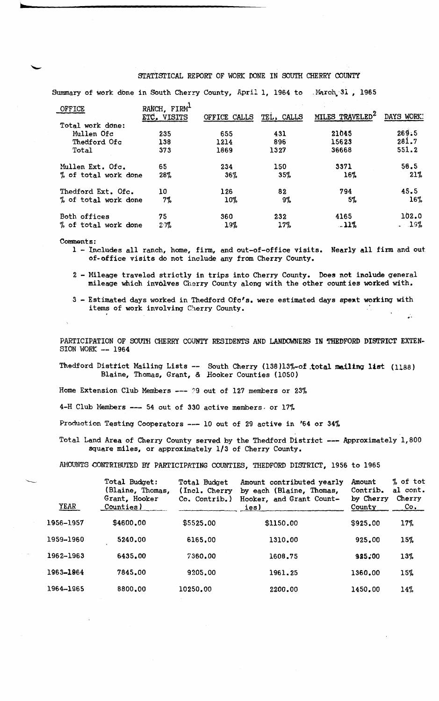## STATISTICAL REPORT OF WORK DONE IN SOUTH CHERRY COUNTY

Summary of work done in South Cherry County, April 1, 1964 to .March, 31, 1965

| RANCH, FIRM <sup>1</sup><br>ETC. VISITS | OFFICE CALLS | TEL. CALLS |         | DAYS WORK!                  |
|-----------------------------------------|--------------|------------|---------|-----------------------------|
|                                         |              |            |         |                             |
| 235                                     | 655          | 431        | 21045   | 269.5                       |
| 138                                     | 1214         | 896        | 15623   | 281.7                       |
| 373                                     | 1869         | 1327       | 36668   | 551.2                       |
| 65                                      | 234          | 150        | 3371    | 56.5                        |
| 28%<br>% of total work done             | $36\%$       | 35%        | 16%     | 21%                         |
| 10                                      | 126          | 82         | 794     | 45.5                        |
| 7%<br>% of total work done              | 10%          | 9%         | 5%      | 16%                         |
| 75                                      | 360          | 232        | 4165    | 102.0                       |
| % of total work done<br>20%             | 19%          | 17%        | $-11\%$ | $-19%$                      |
|                                         |              |            |         | MILES TRAVELED <sup>2</sup> |

Comments:

..........

- 1 Includes all ranch, hame, finn, and out-of-office visits. Nearly all finn and out of· office visits do not include any from Cherry County.
- 2 Mileage traveled strictly in trips into Cherry County. Does not include general mileage which involves Cherry County along with the other counties worked with.
- 3 Estimated days worked in Thedford Ofc's. were estimated days spent working with items of work involving Cherry County. .'

PARTICIPATION OF SOUTH CHERRY COUNTY RESIDENTS AND LANDOWNERS IN THEDFORD DISTRICT EXTEN-SION WORK -- 1964

Thedford District Mailing Lists -- South Cherry (138)13%-of total mailing list (1188) Blaine, Thomas, Grant, & Hooker Counties (1050)

Home Extension Club Members  $---$  29 out of 127 members or 23%

4-H Club Members --- 54 out of 330 active members, or 17%

Production Testing Cooperators --- 10 out of 29 active in '64 or 34%

Total Land Area of Cherry County served by the Thedford District --- Approximately 1,800 square miles, or approximately 1/3 of Cherry County.

AMOUNTS CONTRIBUTED BY PARTICIPATING COUNTIES, THEDFORD DISTRICT, 1956 to 1965

|        | YEAR      | Total Budget:<br>(Blaine, Thomas,<br>Grant, Hooker<br>Counties) | Total Budget<br>(Incl. Cherry)<br>Co. Contrib.) | Amount contributed yearly<br>by each (Blaine, Thomas,<br>Hooker, and Grant Count-<br>ies) | Amount<br>Contrib.<br>by Cherry<br>County | % of tot<br>al cont.<br>Cherry<br>Co <sub>1</sub> |
|--------|-----------|-----------------------------------------------------------------|-------------------------------------------------|-------------------------------------------------------------------------------------------|-------------------------------------------|---------------------------------------------------|
|        | 1956-1957 | \$4600,00                                                       | \$5525.00                                       | \$1150.00                                                                                 | \$925.00                                  | 17%                                               |
|        | 1959-1960 | 5240.00                                                         | 6165.00                                         | 1310.00                                                                                   | 925.00                                    | 15%                                               |
| $\sim$ | 1962-1963 | 6435.00                                                         | 7360.00                                         | 1608.75                                                                                   | 985.00                                    | 13%                                               |
|        | 1963-1964 | 7845.00                                                         | 9205.00                                         | 1961.25                                                                                   | 1360.00                                   | 15%                                               |
|        | 1964-1965 | 8800.00                                                         | 10250.00                                        | 2200.00                                                                                   | 1450.00                                   | 14%                                               |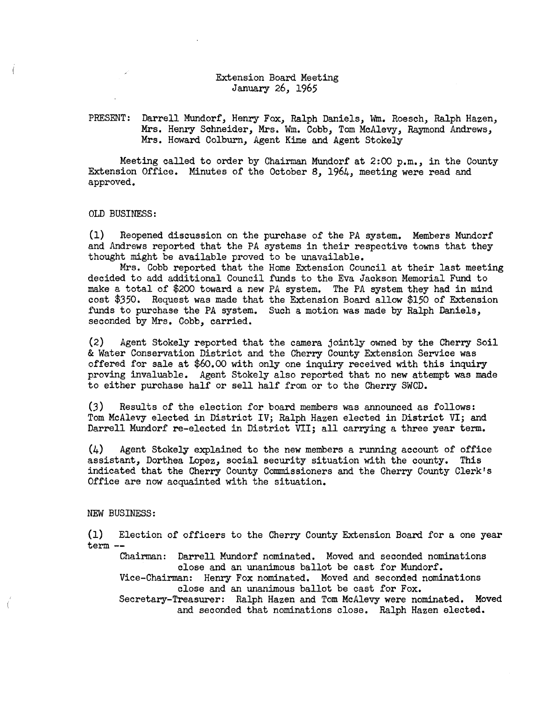## Extension Board Meeting January 26, 1965

### PRESENT: Darrell Mundorf, Henry Fox, Ralph Daniels, Wm. Roesch, Ralph Hazen, Mrs. Henry Schneider, Mrs. Wm. Cobb, Tom McAlevy, Raymond Andrews, Mrs. Howard Colburn, Agent Kime and Agent Stokely

Meeting called to order by Chairman Mundorf at 2:00 p.m., in the County Extension Office. Minutes of the October 8, 1964, meeting were read and approved.

OLD BUSINESS:

(1) Reopened discussion on the purchase of the PA system. Members Mundorf and Andrews reported that the PA systems in their respective towns that they thought might be available proved to be unavailable.

Mrs. Cobb reported that the Home Extension Council at their last meeting decided to add additional Council funds to the Eva Jackson Memorial Fund to make a total of \$200 toward a new PA system. The PA system they had in mind cost \$350. Request was made that the Extension Board allow \$150 of Extension funds to purchase the PA system. Such a motion was made by Ralph Daniels, seconded by Mrs. Cobb, carried.

(2) Agent Stokely reported that the camera jointly owned by the Cherry Soil & Water Conservation District and the Cherry County Extension Service was offered for sale at \$60.00 with only one inquiry received with this inquiry proving invaluable. Agent Stokely also reported that no new attempt was made to either purchase half or sell half from or to the Cherry SWCD.

(3) Results of the election for board members was announced as follows: Tom McAlevy elected in District IV; Ralph Hazen elected in District VI; and Darrell Mundorf re-elected in District VII; all carrying a three year term.

(4) Agent Stokely explained to the new members a running account of office assistant, Dorthea Lopez, social security situation with the county. This indicated that the Cherry County Commissioners and the Cherry County Clerk's Office are now acquainted with the situation.

#### NEW BUSINESS:

(1) Election of officers to the Cherry County Extension Board for a one year term --

Chairman: Darrell Mundorf nominated. Moved and seconded nominations close and an unanimous ballot be cast for Mundorf.

Vice-Chairman: Henry Fox nominated. Moved and seconded nominations close and an unanimous ballot be cast for Fox.

Secretary-Treasurer: Ralph Hazen and Tom McAlevy were nominated. Moved and seconded that nominations close. Ralph Hazen elected.